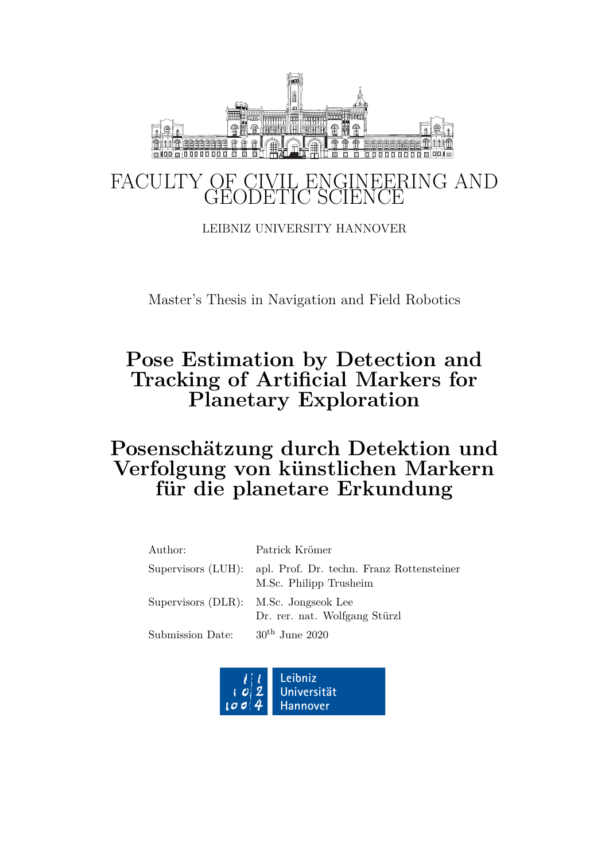

LEIBNIZ UNIVERSITY HANNOVER

Master's Thesis in Navigation and Field Robotics

## **Pose Estimation by Detection and Tracking of Artificial Markers for Planetary Exploration**

## **Posenschätzung durch Detektion und Verfolgung von k¨unstlichen Markern** für die planetare Erkundung

| Author:          | Patrick Krömer                                                                         |
|------------------|----------------------------------------------------------------------------------------|
|                  | Supervisors (LUH): apl. Prof. Dr. techn. Franz Rottensteiner<br>M.Sc. Philipp Trusheim |
|                  | Supervisors (DLR): M.Sc. Jongseok Lee<br>Dr. rer. nat. Wolfgang Stürzl                 |
| Submission Date: | $30th$ June 2020                                                                       |